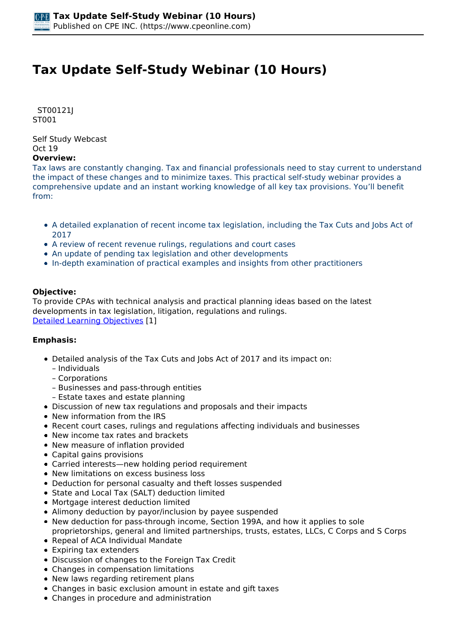# **Tax Update Self-Study Webinar (10 Hours)**

 *ST00121J ST001* 

*Self Study Webcast Oct 19* 

## **Overview:**

*Tax laws are constantly changing. Tax and financial professionals need to stay current to understand the impact of these changes and to minimize taxes. This practical self-study webinar provides a comprehensive update and an instant working knowledge of all key tax provisions. You'll benefit from:*

- *A detailed explanation of recent income tax legislation, including the Tax Cuts and Jobs Act of 2017*
- *A review of recent revenue rulings, regulations and court cases*
- *An update of pending tax legislation and other developments*
- *In-depth examination of practical examples and insights from other practitioners*

### **Objective:**

*To provide CPAs with technical analysis and practical planning ideas based on the latest developments in tax legislation, litigation, regulations and rulings. [Detailed Learning Objectives](https://www.cpeonline.com/JavaScript:showObjectivesPopup();) [1]*

### **Emphasis:**

- *Detailed analysis of the Tax Cuts and Jobs Act of 2017 and its impact on:*
	- *Individuals*
	- *Corporations*
	- *Businesses and pass-through entities*
	- *Estate taxes and estate planning*
- *Discussion of new tax regulations and proposals and their impacts*
- *New information from the IRS*
- *Recent court cases, rulings and regulations affecting individuals and businesses*
- *New income tax rates and brackets*
- *New measure of inflation provided*
- *Capital gains provisions*
- *Carried interests—new holding period requirement*
- *New limitations on excess business loss*
- *Deduction for personal casualty and theft losses suspended*
- *State and Local Tax (SALT) deduction limited*
- *Mortgage interest deduction limited*
- *Alimony deduction by payor/inclusion by payee suspended*
- *New deduction for pass-through income, Section 199A, and how it applies to sole proprietorships, general and limited partnerships, trusts, estates, LLCs, C Corps and S Corps*
- *Repeal of ACA Individual Mandate*
- *Expiring tax extenders*
- *Discussion of changes to the Foreign Tax Credit*
- *Changes in compensation limitations*
- *New laws regarding retirement plans*
- *Changes in basic exclusion amount in estate and gift taxes*
- *Changes in procedure and administration*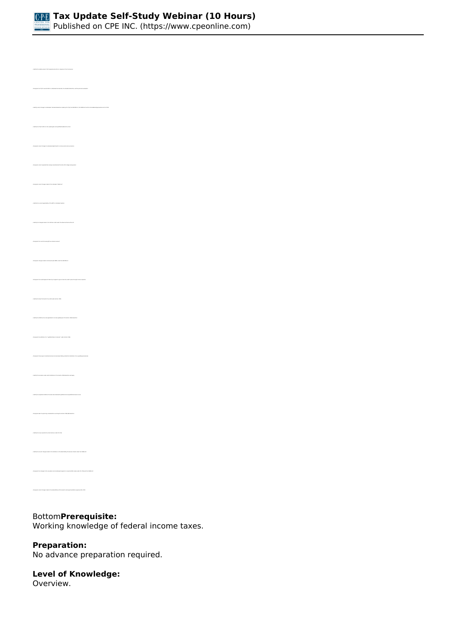

*• Identify the relative level of US Congressional action in response to the Coronavirus • Identify recent changes to individuals' itemized deductions made by the TCJA, the SECURE Act, the CARES Act and the Consolidated Appropriations Act of 2021 • Identify the TCJA's effect on the capital gains and qualified dividends tax rates • Recognize recent changes made to the individual "kiddie tax" • Identify the current applicability of the AMT on individual taxation • Recognize the current annual gift tax exclusion amount • Recognize changes made to retirement plan RMDs under the SECURE Act • Recognize the overall approach taken by Congress to give income tax relief to pass-through income recipients • Identify the basic formula for tax relief under Section 199A • Recognize the definition of a "qualified trade or business" under Section 199A • Recognize those types of professional service businesses falling outside the limitations of non-qualifying businesses • Identify the scenarios under which limitations to the Section 199A deduction will apply • Identify the separate limitation formulas associated with qualified and nonqualified business income • Identify the new corporate tax rate structure under the TCJA • Identify the recent changes made to the limitation on the deductibility of business interest under the CARES Act*

## *Bottom***Prerequisite:**

*Working knowledge of federal income taxes.*

#### **Preparation:**

*No advance preparation required.*

## **Level of Knowledge:**

*Overview.*